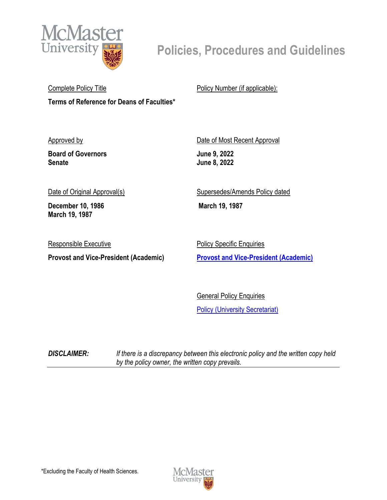

## **Policies, Procedures and Guidelines**

Complete Policy Title **Terms of Reference for Deans of Faculties\***  Policy Number (if applicable):

Approved by

**Board of Governors Senate**

Date of Most Recent Approval **June 9, 2022 June 8, 2022**

Date of Original Approval(s)

**December 10, 1986 March 19, 1987**

Responsible Executive

**Provost and Vice-President (Academic)**

Supersedes/Amends Policy dated

**March 19, 1987** 

Policy Specific Enquiries **[Provost and Vice-President \(Academic\)](mailto:provost@mcmaster.ca?subject=Inquiry)**

General Policy Enquiries [Policy \(University Secretariat\)](mailto:policy@mcmaster.ca?subject=%20Inquiry)

*DISCLAIMER: If there is a discrepancy between this electronic policy and the written copy held by the policy owner, the written copy prevails.*

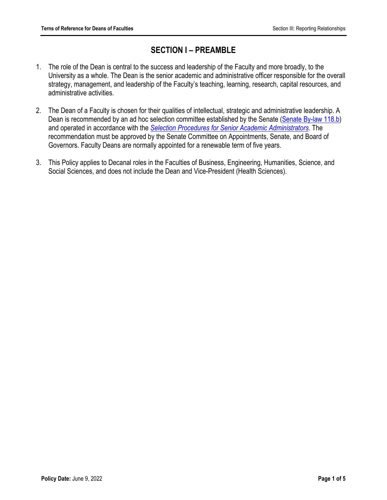## **SECTION I – PREAMBLE**

- 1. The role of the Dean is central to the success and leadership of the Faculty and more broadly, to the University as a whole. The Dean is the senior academic and administrative officer responsible for the overall strategy, management, and leadership of the Faculty's teaching, learning, research, capital resources, and administrative activities.
- 2. The Dean of a Faculty is chosen for their qualities of intellectual, strategic and administrative leadership. A Dean is recommended by an ad hoc selection committee established by the Senate [\(Senate By-law 118.b\)](https://secretariat.mcmaster.ca/app/uploads/By-Laws-Senate.pdf) and operated in accordance with the *[Selection Procedures for Senior Academic Administrators](https://secretariat.mcmaster.ca/app/uploads/2019/06/Senior-Acad.-Administrators-Sel.-Proc.pdf)*. The recommendation must be approved by the Senate Committee on Appointments, Senate, and Board of Governors. Faculty Deans are normally appointed for a renewable term of five years.
- 3. This Policy applies to Decanal roles in the Faculties of Business, Engineering, Humanities, Science, and Social Sciences, and does not include the Dean and Vice-President (Health Sciences).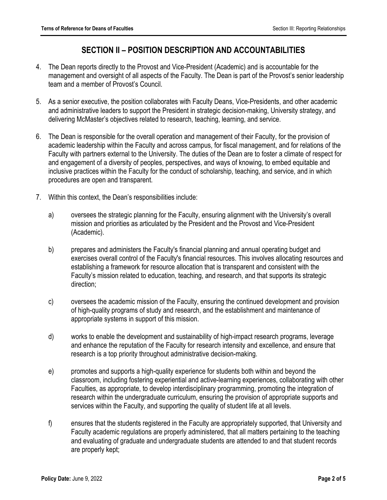## **SECTION II – POSITION DESCRIPTION AND ACCOUNTABILITIES**

- 4. The Dean reports directly to the Provost and Vice-President (Academic) and is accountable for the management and oversight of all aspects of the Faculty. The Dean is part of the Provost's senior leadership team and a member of Provost's Council.
- 5. As a senior executive, the position collaborates with Faculty Deans, Vice-Presidents, and other academic and administrative leaders to support the President in strategic decision-making, University strategy, and delivering McMaster's objectives related to research, teaching, learning, and service.
- 6. The Dean is responsible for the overall operation and management of their Faculty, for the provision of academic leadership within the Faculty and across campus, for fiscal management, and for relations of the Faculty with partners external to the University. The duties of the Dean are to foster a climate of respect for and engagement of a diversity of peoples, perspectives, and ways of knowing, to embed equitable and inclusive practices within the Faculty for the conduct of scholarship, teaching, and service, and in which procedures are open and transparent.
- 7. Within this context, the Dean's responsibilities include:
	- a) oversees the strategic planning for the Faculty, ensuring alignment with the University's overall mission and priorities as articulated by the President and the Provost and Vice-President (Academic).
	- b) prepares and administers the Faculty's financial planning and annual operating budget and exercises overall control of the Faculty's financial resources. This involves allocating resources and establishing a framework for resource allocation that is transparent and consistent with the Faculty's mission related to education, teaching, and research, and that supports its strategic direction;
	- c) oversees the academic mission of the Faculty, ensuring the continued development and provision of high-quality programs of study and research, and the establishment and maintenance of appropriate systems in support of this mission.
	- d) works to enable the development and sustainability of high-impact research programs, leverage and enhance the reputation of the Faculty for research intensity and excellence, and ensure that research is a top priority throughout administrative decision-making.
	- e) promotes and supports a high-quality experience for students both within and beyond the classroom, including fostering experiential and active-learning experiences, collaborating with other Faculties, as appropriate, to develop interdisciplinary programming, promoting the integration of research within the undergraduate curriculum, ensuring the provision of appropriate supports and services within the Faculty, and supporting the quality of student life at all levels.
	- f) ensures that the students registered in the Faculty are appropriately supported, that University and Faculty academic regulations are properly administered, that all matters pertaining to the teaching and evaluating of graduate and undergraduate students are attended to and that student records are properly kept;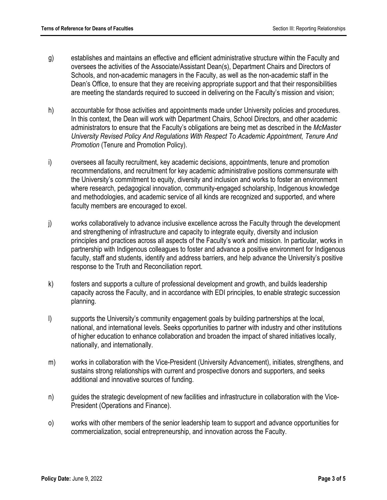- g) establishes and maintains an effective and efficient administrative structure within the Faculty and oversees the activities of the Associate/Assistant Dean(s), Department Chairs and Directors of Schools, and non-academic managers in the Faculty, as well as the non-academic staff in the Dean's Office, to ensure that they are receiving appropriate support and that their responsibilities are meeting the standards required to succeed in delivering on the Faculty's mission and vision;
- h) accountable for those activities and appointments made under University policies and procedures. In this context, the Dean will work with Department Chairs, School Directors, and other academic administrators to ensure that the Faculty's obligations are being met as described in the *McMaster University Revised Policy And Regulations With Respect To Academic Appointment, Tenure And Promotion* (Tenure and Promotion Policy).
- i) oversees all faculty recruitment, key academic decisions, appointments, tenure and promotion recommendations, and recruitment for key academic administrative positions commensurate with the University's commitment to equity, diversity and inclusion and works to foster an environment where research, pedagogical innovation, community-engaged scholarship, Indigenous knowledge and methodologies, and academic service of all kinds are recognized and supported, and where faculty members are encouraged to excel.
- j) works collaboratively to advance inclusive excellence across the Faculty through the development and strengthening of infrastructure and capacity to integrate equity, diversity and inclusion principles and practices across all aspects of the Faculty's work and mission. In particular, works in partnership with Indigenous colleagues to foster and advance a positive environment for Indigenous faculty, staff and students, identify and address barriers, and help advance the University's positive response to the Truth and Reconciliation report.
- k) fosters and supports a culture of professional development and growth, and builds leadership capacity across the Faculty, and in accordance with EDI principles, to enable strategic succession planning.
- l) supports the University's community engagement goals by building partnerships at the local, national, and international levels. Seeks opportunities to partner with industry and other institutions of higher education to enhance collaboration and broaden the impact of shared initiatives locally, nationally, and internationally.
- m) works in collaboration with the Vice-President (University Advancement), initiates, strengthens, and sustains strong relationships with current and prospective donors and supporters, and seeks additional and innovative sources of funding.
- n) guides the strategic development of new facilities and infrastructure in collaboration with the Vice-President (Operations and Finance).
- o) works with other members of the senior leadership team to support and advance opportunities for commercialization, social entrepreneurship, and innovation across the Faculty.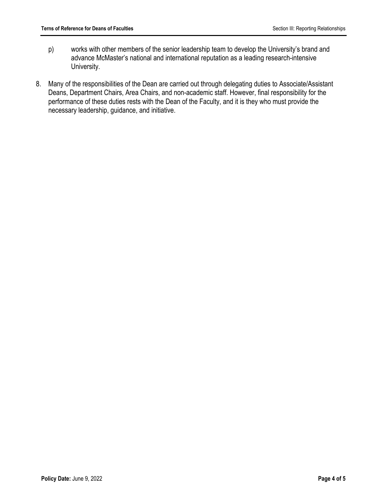- p) works with other members of the senior leadership team to develop the University's brand and advance McMaster's national and international reputation as a leading research-intensive University.
- 8. Many of the responsibilities of the Dean are carried out through delegating duties to Associate/Assistant Deans, Department Chairs, Area Chairs, and non-academic staff. However, final responsibility for the performance of these duties rests with the Dean of the Faculty, and it is they who must provide the necessary leadership, guidance, and initiative.